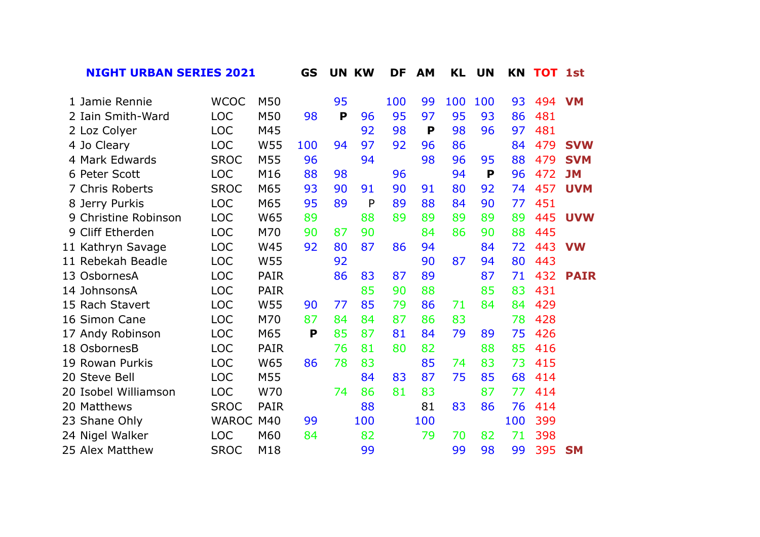**GS UN KW DF AM KL UN KN TOT 1st NIGHT URBAN SERIES 2021**

| 1 Jamie Rennie       | <b>WCOC</b>  | M50         |     | 95 |     | 100 | 99  | 100 | 100 | 93  | 494 | <b>VM</b>   |
|----------------------|--------------|-------------|-----|----|-----|-----|-----|-----|-----|-----|-----|-------------|
| 2 Iain Smith-Ward    | <b>LOC</b>   | M50         | 98  | P  | 96  | 95  | 97  | 95  | 93  | 86  | 481 |             |
| 2 Loz Colyer         | <b>LOC</b>   | M45         |     |    | 92  | 98  | P   | 98  | 96  | 97  | 481 |             |
| 4 Jo Cleary          | <b>LOC</b>   | W55         | 100 | 94 | 97  | 92  | 96  | 86  |     | 84  | 479 | <b>SVW</b>  |
| 4 Mark Edwards       | <b>SROC</b>  | M55         | 96  |    | 94  |     | 98  | 96  | 95  | 88  | 479 | <b>SVM</b>  |
| 6 Peter Scott        | <b>LOC</b>   | M16         | 88  | 98 |     | 96  |     | 94  | P   | 96  | 472 | <b>JM</b>   |
| 7 Chris Roberts      | <b>SROC</b>  | M65         | 93  | 90 | 91  | 90  | 91  | 80  | 92  | 74  | 457 | <b>UVM</b>  |
| 8 Jerry Purkis       | <b>LOC</b>   | M65         | 95  | 89 | P   | 89  | 88  | 84  | 90  | 77  | 451 |             |
| 9 Christine Robinson | <b>LOC</b>   | W65         | 89  |    | 88  | 89  | 89  | 89  | 89  | 89  | 445 | <b>UVW</b>  |
| Cliff Etherden<br>9  | <b>LOC</b>   | M70         | 90  | 87 | 90  |     | 84  | 86  | 90  | 88  | 445 |             |
| 11 Kathryn Savage    | <b>LOC</b>   | W45         | 92  | 80 | 87  | 86  | 94  |     | 84  | 72  | 443 | <b>VW</b>   |
| 11 Rebekah Beadle    | <b>LOC</b>   | W55         |     | 92 |     |     | 90  | 87  | 94  | 80  | 443 |             |
| OsbornesA<br>13      | <b>LOC</b>   | <b>PAIR</b> |     | 86 | 83  | 87  | 89  |     | 87  | 71  | 432 | <b>PAIR</b> |
| 14 JohnsonsA         | <b>LOC</b>   | PAIR        |     |    | 85  | 90  | 88  |     | 85  | 83  | 431 |             |
| 15 Rach Stavert      | <b>LOC</b>   | W55         | 90  | 77 | 85  | 79  | 86  | 71  | 84  | 84  | 429 |             |
| 16 Simon Cane        | <b>LOC</b>   | M70         | 87  | 84 | 84  | 87  | 86  | 83  |     | 78  | 428 |             |
| 17 Andy Robinson     | <b>LOC</b>   | M65         | P   | 85 | 87  | 81  | 84  | 79  | 89  | 75  | 426 |             |
| 18 OsbornesB         | <b>LOC</b>   | <b>PAIR</b> |     | 76 | 81  | 80  | 82  |     | 88  | 85  | 416 |             |
| 19 Rowan Purkis      | <b>LOC</b>   | W65         | 86  | 78 | 83  |     | 85  | 74  | 83  | 73  | 415 |             |
| 20 Steve Bell        | <b>LOC</b>   | M55         |     |    | 84  | 83  | 87  | 75  | 85  | 68  | 414 |             |
| 20 Isobel Williamson | <b>LOC</b>   | W70         |     | 74 | 86  | 81  | 83  |     | 87  | 77  | 414 |             |
| 20 Matthews          | <b>SROC</b>  | <b>PAIR</b> |     |    | 88  |     | 81  | 83  | 86  | 76  | 414 |             |
| 23 Shane Ohly        | <b>WAROC</b> | M40         | 99  |    | 100 |     | 100 |     |     | 100 | 399 |             |
| 24 Nigel Walker      | <b>LOC</b>   | M60         | 84  |    | 82  |     | 79  | 70  | 82  | 71  | 398 |             |
| 25 Alex Matthew      | <b>SROC</b>  | M18         |     |    | 99  |     |     | 99  | 98  | 99  | 395 | <b>SM</b>   |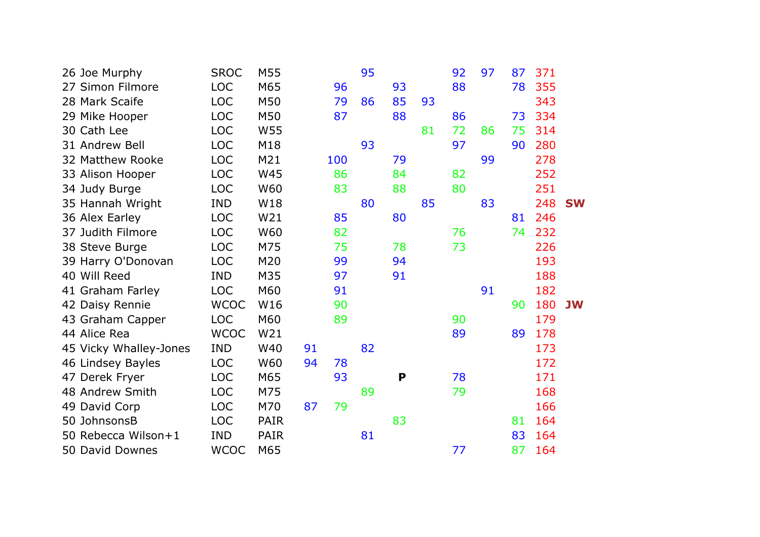| 26 Joe Murphy          | <b>SROC</b> | M55         |    |     | 95 |    |    | 92 | 97 | 87 | 371 |           |
|------------------------|-------------|-------------|----|-----|----|----|----|----|----|----|-----|-----------|
| 27 Simon Filmore       | <b>LOC</b>  | M65         |    | 96  |    | 93 |    | 88 |    | 78 | 355 |           |
| 28 Mark Scaife         | <b>LOC</b>  | M50         |    | 79  | 86 | 85 | 93 |    |    |    | 343 |           |
| 29 Mike Hooper         | <b>LOC</b>  | M50         |    | 87  |    | 88 |    | 86 |    | 73 | 334 |           |
| 30 Cath Lee            | <b>LOC</b>  | W55         |    |     |    |    | 81 | 72 | 86 | 75 | 314 |           |
| 31 Andrew Bell         | <b>LOC</b>  | M18         |    |     | 93 |    |    | 97 |    | 90 | 280 |           |
| 32 Matthew Rooke       | <b>LOC</b>  | M21         |    | 100 |    | 79 |    |    | 99 |    | 278 |           |
| 33 Alison Hooper       | <b>LOC</b>  | W45         |    | 86  |    | 84 |    | 82 |    |    | 252 |           |
| 34 Judy Burge          | <b>LOC</b>  | W60         |    | 83  |    | 88 |    | 80 |    |    | 251 |           |
| 35 Hannah Wright       | <b>IND</b>  | W18         |    |     | 80 |    | 85 |    | 83 |    | 248 | <b>SW</b> |
| 36 Alex Earley         | <b>LOC</b>  | W21         |    | 85  |    | 80 |    |    |    | 81 | 246 |           |
| 37 Judith Filmore      | <b>LOC</b>  | W60         |    | 82  |    |    |    | 76 |    | 74 | 232 |           |
| 38 Steve Burge         | <b>LOC</b>  | M75         |    | 75  |    | 78 |    | 73 |    |    | 226 |           |
| 39 Harry O'Donovan     | <b>LOC</b>  | M20         |    | 99  |    | 94 |    |    |    |    | 193 |           |
| 40 Will Reed           | <b>IND</b>  | M35         |    | 97  |    | 91 |    |    |    |    | 188 |           |
| 41 Graham Farley       | <b>LOC</b>  | M60         |    | 91  |    |    |    |    | 91 |    | 182 |           |
| 42 Daisy Rennie        | <b>WCOC</b> | W16         |    | 90  |    |    |    |    |    | 90 | 180 | <b>JW</b> |
| 43 Graham Capper       | <b>LOC</b>  | M60         |    | 89  |    |    |    | 90 |    |    | 179 |           |
| 44 Alice Rea           | <b>WCOC</b> | W21         |    |     |    |    |    | 89 |    | 89 | 178 |           |
| 45 Vicky Whalley-Jones | <b>IND</b>  | W40         | 91 |     | 82 |    |    |    |    |    | 173 |           |
| 46 Lindsey Bayles      | <b>LOC</b>  | W60         | 94 | 78  |    |    |    |    |    |    | 172 |           |
| 47 Derek Fryer         | <b>LOC</b>  | M65         |    | 93  |    | P  |    | 78 |    |    | 171 |           |
| 48 Andrew Smith        | <b>LOC</b>  | M75         |    |     | 89 |    |    | 79 |    |    | 168 |           |
| 49 David Corp          | <b>LOC</b>  | M70         | 87 | 79  |    |    |    |    |    |    | 166 |           |
| 50 JohnsonsB           | <b>LOC</b>  | <b>PAIR</b> |    |     |    | 83 |    |    |    | 81 | 164 |           |
| 50 Rebecca Wilson+1    | <b>IND</b>  | <b>PAIR</b> |    |     | 81 |    |    |    |    | 83 | 164 |           |
| 50 David Downes        | <b>WCOC</b> | M65         |    |     |    |    |    | 77 |    | 87 | 164 |           |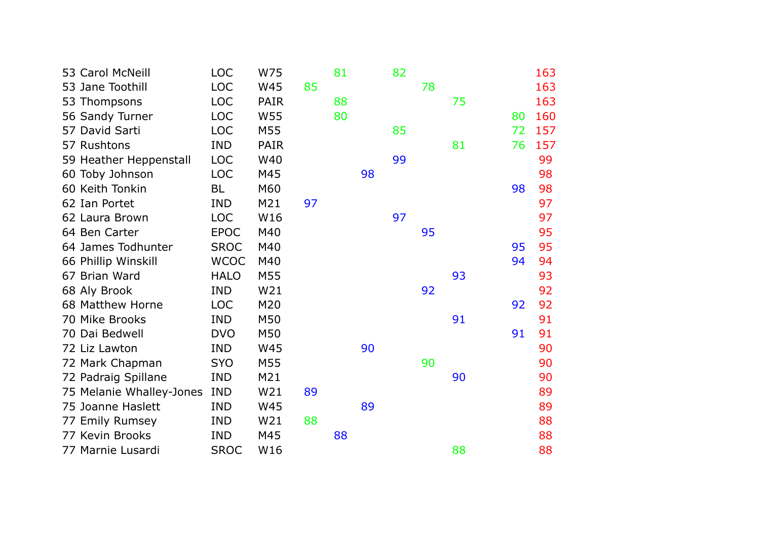| 53 Carol McNeill         | <b>LOC</b>  | W75         |    | 81 |    | 82 |    |    |    | 163 |
|--------------------------|-------------|-------------|----|----|----|----|----|----|----|-----|
| 53 Jane Toothill         | <b>LOC</b>  | W45         | 85 |    |    |    | 78 |    |    | 163 |
| 53 Thompsons             | <b>LOC</b>  | <b>PAIR</b> |    | 88 |    |    |    | 75 |    | 163 |
| 56 Sandy Turner          | <b>LOC</b>  | W55         |    | 80 |    |    |    |    | 80 | 160 |
| 57 David Sarti           | <b>LOC</b>  | M55         |    |    |    | 85 |    |    | 72 | 157 |
| 57 Rushtons              | <b>IND</b>  | <b>PAIR</b> |    |    |    |    |    | 81 | 76 | 157 |
| 59 Heather Heppenstall   | <b>LOC</b>  | W40         |    |    |    | 99 |    |    |    | 99  |
| 60 Toby Johnson          | <b>LOC</b>  | M45         |    |    | 98 |    |    |    |    | 98  |
| 60 Keith Tonkin          | BL          | M60         |    |    |    |    |    |    | 98 | 98  |
| 62 Ian Portet            | <b>IND</b>  | M21         | 97 |    |    |    |    |    |    | 97  |
| 62 Laura Brown           | <b>LOC</b>  | W16         |    |    |    | 97 |    |    |    | 97  |
| 64 Ben Carter            | <b>EPOC</b> | M40         |    |    |    |    | 95 |    |    | 95  |
| 64 James Todhunter       | <b>SROC</b> | M40         |    |    |    |    |    |    | 95 | 95  |
| 66 Phillip Winskill      | <b>WCOC</b> | M40         |    |    |    |    |    |    | 94 | 94  |
| 67 Brian Ward            | <b>HALO</b> | M55         |    |    |    |    |    | 93 |    | 93  |
| 68 Aly Brook             | <b>IND</b>  | W21         |    |    |    |    | 92 |    |    | 92  |
| 68 Matthew Horne         | <b>LOC</b>  | M20         |    |    |    |    |    |    | 92 | 92  |
| 70 Mike Brooks           | <b>IND</b>  | M50         |    |    |    |    |    | 91 |    | 91  |
| 70 Dai Bedwell           | <b>DVO</b>  | M50         |    |    |    |    |    |    | 91 | 91  |
| 72 Liz Lawton            | <b>IND</b>  | W45         |    |    | 90 |    |    |    |    | 90  |
| 72 Mark Chapman          | <b>SYO</b>  | M55         |    |    |    |    | 90 |    |    | 90  |
| 72 Padraig Spillane      | <b>IND</b>  | M21         |    |    |    |    |    | 90 |    | 90  |
| 75 Melanie Whalley-Jones | <b>IND</b>  | W21         | 89 |    |    |    |    |    |    | 89  |
| 75 Joanne Haslett        | <b>IND</b>  | W45         |    |    | 89 |    |    |    |    | 89  |
| 77 Emily Rumsey          | <b>IND</b>  | W21         | 88 |    |    |    |    |    |    | 88  |
| 77 Kevin Brooks          | <b>IND</b>  | M45         |    | 88 |    |    |    |    |    | 88  |
| 77 Marnie Lusardi        | <b>SROC</b> | W16         |    |    |    |    |    | 88 |    | 88  |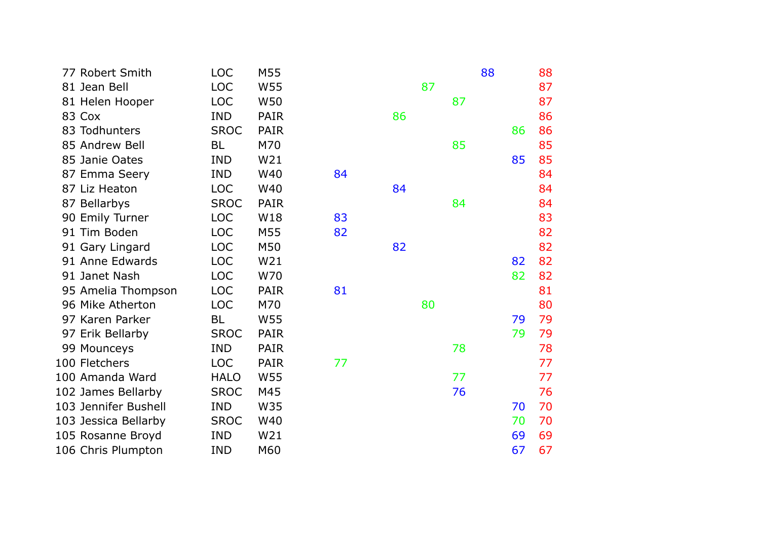| 77 Robert Smith      | <b>LOC</b>  | M55         |    |    |    |    | 88 |    | 88 |
|----------------------|-------------|-------------|----|----|----|----|----|----|----|
| 81 Jean Bell         | <b>LOC</b>  | W55         |    |    | 87 |    |    |    | 87 |
| 81 Helen Hooper      | <b>LOC</b>  | W50         |    |    |    | 87 |    |    | 87 |
| 83 Cox               | <b>IND</b>  | <b>PAIR</b> |    | 86 |    |    |    |    | 86 |
| 83 Todhunters        | <b>SROC</b> | <b>PAIR</b> |    |    |    |    |    | 86 | 86 |
| 85 Andrew Bell       | <b>BL</b>   | M70         |    |    |    | 85 |    |    | 85 |
| 85 Janie Oates       | <b>IND</b>  | W21         |    |    |    |    |    | 85 | 85 |
| 87 Emma Seery        | <b>IND</b>  | W40         | 84 |    |    |    |    |    | 84 |
| 87 Liz Heaton        | <b>LOC</b>  | W40         |    | 84 |    |    |    |    | 84 |
| 87 Bellarbys         | <b>SROC</b> | <b>PAIR</b> |    |    |    | 84 |    |    | 84 |
| 90 Emily Turner      | <b>LOC</b>  | W18         | 83 |    |    |    |    |    | 83 |
| 91 Tim Boden         | <b>LOC</b>  | M55         | 82 |    |    |    |    |    | 82 |
| 91 Gary Lingard      | <b>LOC</b>  | M50         |    | 82 |    |    |    |    | 82 |
| 91 Anne Edwards      | <b>LOC</b>  | W21         |    |    |    |    |    | 82 | 82 |
| 91 Janet Nash        | <b>LOC</b>  | W70         |    |    |    |    |    | 82 | 82 |
| 95 Amelia Thompson   | <b>LOC</b>  | <b>PAIR</b> | 81 |    |    |    |    |    | 81 |
| 96 Mike Atherton     | <b>LOC</b>  | M70         |    |    | 80 |    |    |    | 80 |
| 97 Karen Parker      | <b>BL</b>   | W55         |    |    |    |    |    | 79 | 79 |
| 97 Erik Bellarby     | <b>SROC</b> | <b>PAIR</b> |    |    |    |    |    | 79 | 79 |
| 99 Mounceys          | <b>IND</b>  | <b>PAIR</b> |    |    |    | 78 |    |    | 78 |
| 100 Fletchers        | <b>LOC</b>  | <b>PAIR</b> | 77 |    |    |    |    |    | 77 |
| 100 Amanda Ward      | <b>HALO</b> | W55         |    |    |    | 77 |    |    | 77 |
| 102 James Bellarby   | <b>SROC</b> | M45         |    |    |    | 76 |    |    | 76 |
| 103 Jennifer Bushell | <b>IND</b>  | W35         |    |    |    |    |    | 70 | 70 |
| 103 Jessica Bellarby | <b>SROC</b> | W40         |    |    |    |    |    | 70 | 70 |
| 105 Rosanne Broyd    | <b>IND</b>  | W21         |    |    |    |    |    | 69 | 69 |
| 106 Chris Plumpton   | <b>IND</b>  | M60         |    |    |    |    |    | 67 | 67 |
|                      |             |             |    |    |    |    |    |    |    |